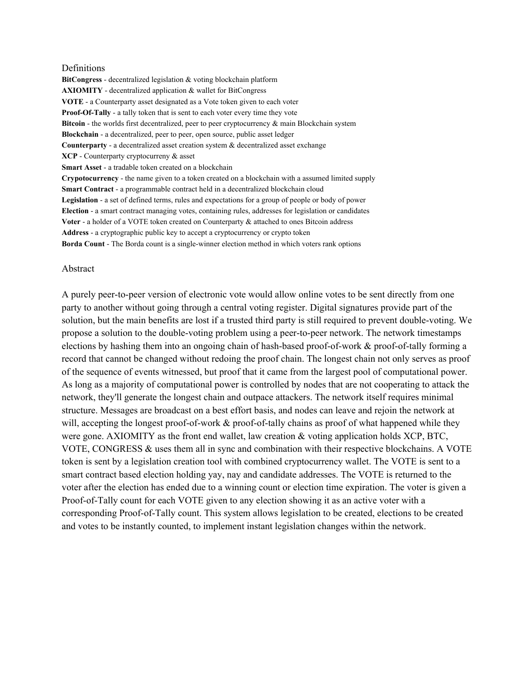#### Definitions

BitCongress - decentralized legislation & voting blockchain platform **AXIOMITY** - decentralized application  $\&$  wallet for BitCongress **VOTE** - a Counterparty asset designated as a Vote token given to each voter **Proof-Of-Tally** - a tally token that is sent to each voter every time they vote **Bitcoin** - the worlds first decentralized, peer to peer cryptocurrency & main Blockchain system **Blockchain** - a decentralized, peer to peer, open source, public asset ledger **Counterparty** - a decentralized asset creation system & decentralized asset exchange **XCP** - Counterparty cryptocurreny & asset **Smart Asset** - a tradable token created on a blockchain **Crypotocurrency** the name given to a token created on a blockchain with a assumed limited supply **Smart Contract** - a programmable contract held in a decentralized blockchain cloud **Legislation** - a set of defined terms, rules and expectations for a group of people or body of power **Election** a smart contract managing votes, containing rules, addresses for legislation or candidates **Voter** - a holder of a VOTE token created on Counterparty & attached to ones Bitcoin address Address - a cryptographic public key to accept a cryptocurrency or crypto token **Borda Count** - The Borda count is a single-winner election method in which voters rank options

#### Abstract

A purely peer-to-peer version of electronic vote would allow online votes to be sent directly from one party to another without going through a central voting register. Digital signatures provide part of the solution, but the main benefits are lost if a trusted third party is still required to prevent double-voting. We propose a solution to the double-voting problem using a peer-to-peer network. The network timestamps elections by hashing them into an ongoing chain of hash-based proof-of-work  $\&$  proof-of-tally forming a record that cannot be changed without redoing the proof chain. The longest chain not only serves as proof of the sequence of events witnessed, but proof that it came from the largest pool of computational power. As long as a majority of computational power is controlled by nodes that are not cooperating to attack the network, they'll generate the longest chain and outpace attackers. The network itself requires minimal structure. Messages are broadcast on a best effort basis, and nodes can leave and rejoin the network at will, accepting the longest proof-of-work  $&$  proof-of-tally chains as proof of what happened while they were gone. AXIOMITY as the front end wallet, law creation  $\&$  voting application holds XCP, BTC, VOTE, CONGRESS & uses them all in sync and combination with their respective blockchains. A VOTE token is sent by a legislation creation tool with combined cryptocurrency wallet. The VOTE is sent to a smart contract based election holding yay, nay and candidate addresses. The VOTE is returned to the voter after the election has ended due to a winning count or election time expiration. The voter is given a Proof-of-Tally count for each VOTE given to any election showing it as an active voter with a corresponding Proof-of-Tally count. This system allows legislation to be created, elections to be created and votes to be instantly counted, to implement instant legislation changes within the network.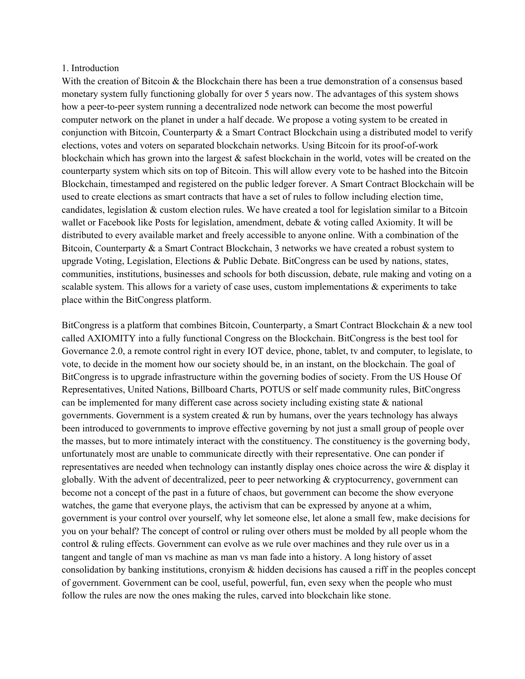#### 1. Introduction

With the creation of Bitcoin & the Blockchain there has been a true demonstration of a consensus based monetary system fully functioning globally for over 5 years now. The advantages of this system shows how a peer-to-peer system running a decentralized node network can become the most powerful computer network on the planet in under a half decade. We propose a voting system to be created in conjunction with Bitcoin, Counterparty  $\&$  a Smart Contract Blockchain using a distributed model to verify elections, votes and voters on separated blockchain networks. Using Bitcoin for its proof-of-work blockchain which has grown into the largest & safest blockchain in the world, votes will be created on the counterparty system which sits on top of Bitcoin. This will allow every vote to be hashed into the Bitcoin Blockchain, timestamped and registered on the public ledger forever. A Smart Contract Blockchain will be used to create elections as smart contracts that have a set of rules to follow including election time, candidates, legislation & custom election rules. We have created a tool for legislation similar to a Bitcoin wallet or Facebook like Posts for legislation, amendment, debate & voting called Axiomity. It will be distributed to every available market and freely accessible to anyone online. With a combination of the Bitcoin, Counterparty & a Smart Contract Blockchain, 3 networks we have created a robust system to upgrade Voting, Legislation, Elections  $\&$  Public Debate. BitCongress can be used by nations, states, communities, institutions, businesses and schools for both discussion, debate, rule making and voting on a scalable system. This allows for a variety of case uses, custom implementations & experiments to take place within the BitCongress platform.

BitCongress is a platform that combines Bitcoin, Counterparty, a Smart Contract Blockchain & a new tool called AXIOMITY into a fully functional Congress on the Blockchain. BitCongress is the best tool for Governance 2.0, a remote control right in every IOT device, phone, tablet, tv and computer, to legislate, to vote, to decide in the moment how our society should be, in an instant, on the blockchain. The goal of BitCongress is to upgrade infrastructure within the governing bodies of society. From the US House Of Representatives, United Nations, Billboard Charts, POTUS or self made community rules, BitCongress can be implemented for many different case across society including existing state  $\&$  national governments. Government is a system created  $\&$  run by humans, over the years technology has always been introduced to governments to improve effective governing by not just a small group of people over the masses, but to more intimately interact with the constituency. The constituency is the governing body, unfortunately most are unable to communicate directly with their representative. One can ponder if representatives are needed when technology can instantly display ones choice across the wire & display it globally. With the advent of decentralized, peer to peer networking & cryptocurrency, government can become not a concept of the past in a future of chaos, but government can become the show everyone watches, the game that everyone plays, the activism that can be expressed by anyone at a whim, government is your control over yourself, why let someone else, let alone a small few, make decisions for you on your behalf? The concept of control or ruling over others must be molded by all people whom the control & ruling effects. Government can evolve as we rule over machines and they rule over us in a tangent and tangle of man vs machine as man vs man fade into a history. A long history of asset consolidation by banking institutions, cronyism & hidden decisions has caused a riff in the peoples concept of government. Government can be cool, useful, powerful, fun, even sexy when the people who must follow the rules are now the ones making the rules, carved into blockchain like stone.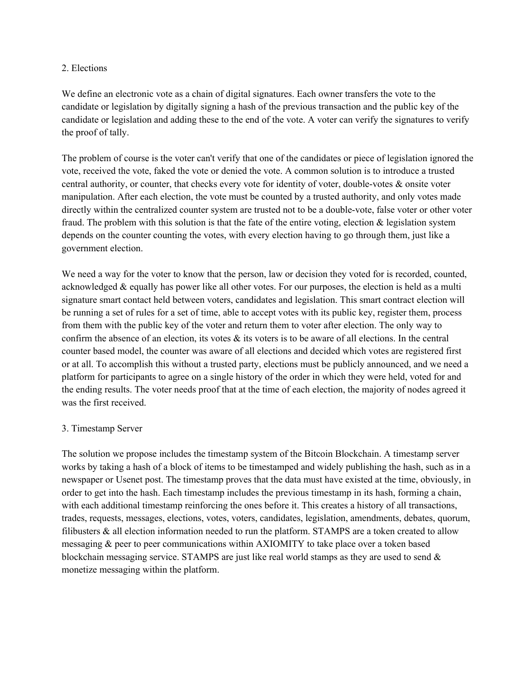## 2. Elections

We define an electronic vote as a chain of digital signatures. Each owner transfers the vote to the candidate or legislation by digitally signing a hash of the previous transaction and the public key of the candidate or legislation and adding these to the end of the vote. A voter can verify the signatures to verify the proof of tally.

The problem of course is the voter can't verify that one of the candidates or piece of legislation ignored the vote, received the vote, faked the vote or denied the vote. A common solution is to introduce a trusted central authority, or counter, that checks every vote for identity of voter, double-votes  $\&$  onsite voter manipulation. After each election, the vote must be counted by a trusted authority, and only votes made directly within the centralized counter system are trusted not to be a double-vote, false voter or other voter fraud. The problem with this solution is that the fate of the entire voting, election  $\&$  legislation system depends on the counter counting the votes, with every election having to go through them, just like a government election.

We need a way for the voter to know that the person, law or decision they voted for is recorded, counted, acknowledged & equally has power like all other votes. For our purposes, the election is held as a multi signature smart contact held between voters, candidates and legislation. This smart contract election will be running a set of rules for a set of time, able to accept votes with its public key, register them, process from them with the public key of the voter and return them to voter after election. The only way to confirm the absence of an election, its votes  $\&$  its voters is to be aware of all elections. In the central counter based model, the counter was aware of all elections and decided which votes are registered first or at all. To accomplish this without a trusted party, elections must be publicly announced, and we need a platform for participants to agree on a single history of the order in which they were held, voted for and the ending results. The voter needs proof that at the time of each election, the majority of nodes agreed it was the first received.

### 3. Timestamp Server

The solution we propose includes the timestamp system of the Bitcoin Blockchain. A timestamp server works by taking a hash of a block of items to be timestamped and widely publishing the hash, such as in a newspaper or Usenet post. The timestamp proves that the data must have existed at the time, obviously, in order to get into the hash. Each timestamp includes the previous timestamp in its hash, forming a chain, with each additional timestamp reinforcing the ones before it. This creates a history of all transactions, trades, requests, messages, elections, votes, voters, candidates, legislation, amendments, debates, quorum, filibusters & all election information needed to run the platform. STAMPS are a token created to allow messaging & peer to peer communications within AXIOMITY to take place over a token based blockchain messaging service. STAMPS are just like real world stamps as they are used to send  $\&$ monetize messaging within the platform.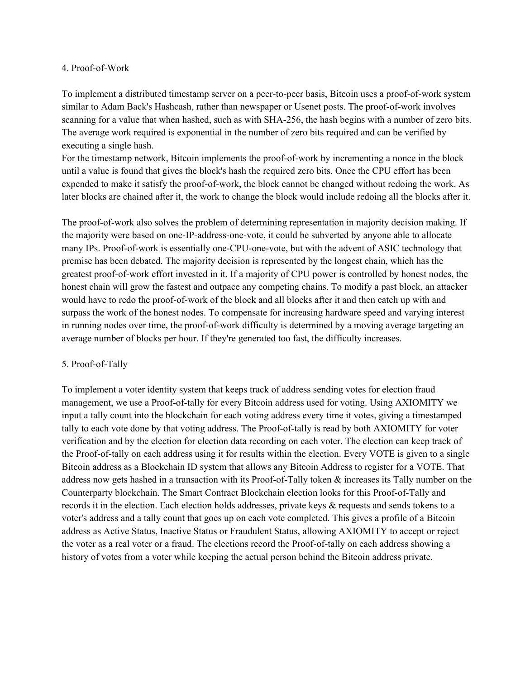### 4. Proof-of-Work

To implement a distributed timestamp server on a peer-to-peer basis, Bitcoin uses a proof-of-work system similar to Adam Back's Hashcash, rather than newspaper or Usenet posts. The proof-of-work involves scanning for a value that when hashed, such as with SHA256, the hash begins with a number of zero bits. The average work required is exponential in the number of zero bits required and can be verified by executing a single hash.

For the timestamp network, Bitcoin implements the proof-of-work by incrementing a nonce in the block until a value is found that gives the block's hash the required zero bits. Once the CPU effort has been expended to make it satisfy the proof-of-work, the block cannot be changed without redoing the work. As later blocks are chained after it, the work to change the block would include redoing all the blocks after it.

The proof-of-work also solves the problem of determining representation in majority decision making. If the majority were based on one-IP-address-one-vote, it could be subverted by anyone able to allocate many IPs. Proof-of-work is essentially one-CPU-one-vote, but with the advent of ASIC technology that premise has been debated. The majority decision is represented by the longest chain, which has the greatest proof-of-work effort invested in it. If a majority of CPU power is controlled by honest nodes, the honest chain will grow the fastest and outpace any competing chains. To modify a past block, an attacker would have to redo the proof-of-work of the block and all blocks after it and then catch up with and surpass the work of the honest nodes. To compensate for increasing hardware speed and varying interest in running nodes over time, the proof-of-work difficulty is determined by a moving average targeting an average number of blocks per hour. If they're generated too fast, the difficulty increases.

## 5. Proof-of-Tally

To implement a voter identity system that keeps track of address sending votes for election fraud management, we use a Proof-of-tally for every Bitcoin address used for voting. Using AXIOMITY we input a tally count into the blockchain for each voting address every time it votes, giving a timestamped tally to each vote done by that voting address. The Proof-of-tally is read by both AXIOMITY for voter verification and by the election for election data recording on each voter. The election can keep track of the Proof-of-tally on each address using it for results within the election. Every VOTE is given to a single Bitcoin address as a Blockchain ID system that allows any Bitcoin Address to register for a VOTE. That address now gets hashed in a transaction with its Proof-of-Tally token  $\&$  increases its Tally number on the Counterparty blockchain. The Smart Contract Blockchain election looks for this Proof-of-Tally and records it in the election. Each election holds addresses, private keys & requests and sends tokens to a voter's address and a tally count that goes up on each vote completed. This gives a profile of a Bitcoin address as Active Status, Inactive Status or Fraudulent Status, allowing AXIOMITY to accept or reject the voter as a real voter or a fraud. The elections record the Proof-of-tally on each address showing a history of votes from a voter while keeping the actual person behind the Bitcoin address private.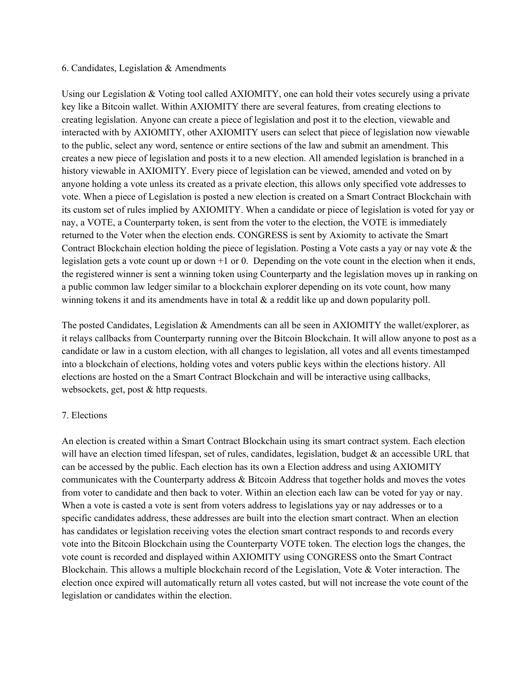### 6. Candidates, Legislation & Amendments

Using our Legislation & Voting tool called AXIOMITY, one can hold their votes securely using a private key like a Bitcoin wallet. Within AXIOMITY there are several features, from creating elections to creating legislation. Anyone can create a piece of legislation and post it to the election, viewable and interacted with by AXIOMITY, other AXIOMITY users can select that piece of legislation now viewable to the public, select any word, sentence or entire sections of the law and submit an amendment. This creates a new piece of legislation and posts it to a new election. All amended legislation is branched in a history viewable in AXIOMITY. Every piece of legislation can be viewed, amended and voted on by anyone holding a vote unless its created as a private election, this allows only specified vote addresses to vote. When a piece of Legislation is posted a new election is created on a Smart Contract Blockchain with its custom set of rules implied by AXIOMITY. When a candidate or piece of legislation is voted for yay or nay, a VOTE, a Counterparty token, is sent from the voter to the election, the VOTE is immediately returned to the Voter when the election ends. CONGRESS is sent by Axiomity to activate the Smart Contract Blockchain election holding the piece of legislation. Posting a Vote casts a yay or nay vote & the legislation gets a vote count up or down +1 or 0. Depending on the vote count in the election when it ends, the registered winner is sent a winning token using Counterparty and the legislation moves up in ranking on a public common law ledger similar to a blockchain explorer depending on its vote count, how many winning tokens it and its amendments have in total  $\&$  a reddit like up and down popularity poll.

The posted Candidates, Legislation & Amendments can all be seen in AXIOMITY the wallet/explorer, as it relays callbacks from Counterparty running over the Bitcoin Blockchain. It will allow anyone to post as a candidate or law in a custom election, with all changes to legislation, all votes and all events timestamped into a blockchain of elections, holding votes and voters public keys within the elections history. All elections are hosted on the a Smart Contract Blockchain and will be interactive using callbacks, websockets, get, post & http requests.

## 7. Elections

An election is created within a Smart Contract Blockchain using its smart contract system. Each election will have an election timed lifespan, set of rules, candidates, legislation, budget  $\&$  an accessible URL that can be accessed by the public. Each election has its own a Election address and using AXIOMITY communicates with the Counterparty address & Bitcoin Address that together holds and moves the votes from voter to candidate and then back to voter. Within an election each law can be voted for yay or nay. When a vote is casted a vote is sent from voters address to legislations yay or nay addresses or to a specific candidates address, these addresses are built into the election smart contract. When an election has candidates or legislation receiving votes the election smart contract responds to and records every vote into the Bitcoin Blockchain using the Counterparty VOTE token. The election logs the changes, the vote count is recorded and displayed within AXIOMITY using CONGRESS onto the Smart Contract Blockchain. This allows a multiple blockchain record of the Legislation, Vote & Voter interaction. The election once expired will automatically return all votes casted, but will not increase the vote count of the legislation or candidates within the election.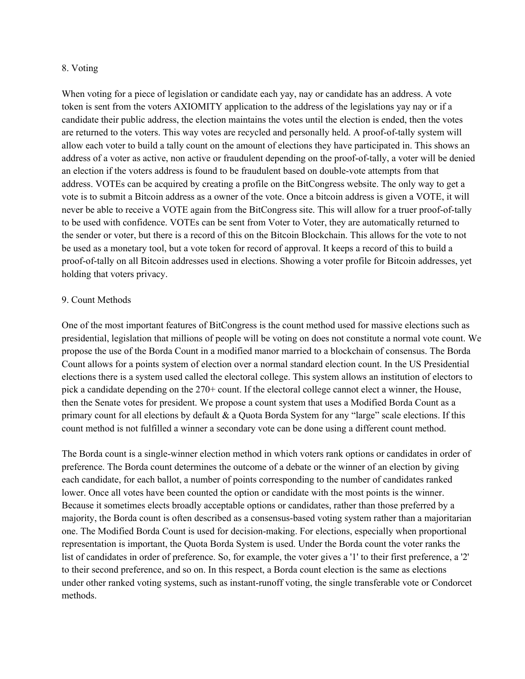### 8. Voting

When voting for a piece of legislation or candidate each yay, nay or candidate has an address. A vote token is sent from the voters AXIOMITY application to the address of the legislations yay nay or if a candidate their public address, the election maintains the votes until the election is ended, then the votes are returned to the voters. This way votes are recycled and personally held. A proof-of-tally system will allow each voter to build a tally count on the amount of elections they have participated in. This shows an address of a voter as active, non active or fraudulent depending on the proof-of-tally, a voter will be denied an election if the voters address is found to be fraudulent based on double-vote attempts from that address. VOTEs can be acquired by creating a profile on the BitCongress website. The only way to get a vote is to submit a Bitcoin address as a owner of the vote. Once a bitcoin address is given a VOTE, it will never be able to receive a VOTE again from the BitCongress site. This will allow for a truer proof-of-tally to be used with confidence. VOTEs can be sent from Voter to Voter, they are automatically returned to the sender or voter, but there is a record of this on the Bitcoin Blockchain. This allows for the vote to not be used as a monetary tool, but a vote token for record of approval. It keeps a record of this to build a proof-of-tally on all Bitcoin addresses used in elections. Showing a voter profile for Bitcoin addresses, yet holding that voters privacy.

## 9. Count Methods

One of the most important features of BitCongress is the count method used for massive elections such as presidential, legislation that millions of people will be voting on does not constitute a normal vote count. We propose the use of the Borda Count in a modified manor married to a blockchain of consensus. The Borda Count allows for a points system of election over a normal standard election count. In the US Presidential elections there is a system used called the electoral college. This system allows an institution of electors to pick a candidate depending on the 270+ count. If the electoral college cannot elect a winner, the House, then the Senate votes for president. We propose a count system that uses a Modified Borda Count as a primary count for all elections by default  $\&$  a Quota Borda System for any "large" scale elections. If this count method is not fulfilled a winner a secondary vote can be done using a different count method.

The Borda count is a single-winner election method in which voters rank options or candidates in order of preference. The Borda count determines the outcome of a debate or the winner of an election by giving each candidate, for each ballot, a number of points corresponding to the number of candidates ranked lower. Once all votes have been counted the option or candidate with the most points is the winner. Because it sometimes elects broadly acceptable options or candidates, rather than those preferred by a majority, the Borda count is often described as a consensus-based voting system rather than a majoritarian one. The Modified Borda Count is used for decision-making. For elections, especially when proportional representation is important, the Quota Borda System is used. Under the Borda count the voter ranks the list of candidates in order of preference. So, for example, the voter gives a '1' to their first preference, a '2' to their second preference, and so on. In this respect, a Borda count election is the same as elections under other ranked voting systems, such as instant-runoff voting, the single transferable vote or Condorcet methods.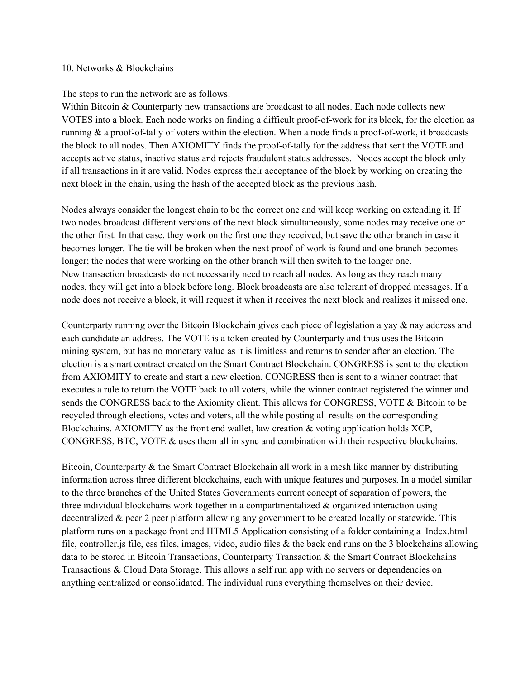#### 10. Networks & Blockchains

#### The steps to run the network are as follows:

Within Bitcoin & Counterparty new transactions are broadcast to all nodes. Each node collects new VOTES into a block. Each node works on finding a difficult proof-of-work for its block, for the election as running  $\&$  a proof-of-tally of voters within the election. When a node finds a proof-of-work, it broadcasts the block to all nodes. Then AXIOMITY finds the proof-of-tally for the address that sent the VOTE and accepts active status, inactive status and rejects fraudulent status addresses. Nodes accept the block only if all transactions in it are valid. Nodes express their acceptance of the block by working on creating the next block in the chain, using the hash of the accepted block as the previous hash.

Nodes always consider the longest chain to be the correct one and will keep working on extending it. If two nodes broadcast different versions of the next block simultaneously, some nodes may receive one or the other first. In that case, they work on the first one they received, but save the other branch in case it becomes longer. The tie will be broken when the next proof-of-work is found and one branch becomes longer; the nodes that were working on the other branch will then switch to the longer one. New transaction broadcasts do not necessarily need to reach all nodes. As long as they reach many nodes, they will get into a block before long. Block broadcasts are also tolerant of dropped messages. If a node does not receive a block, it will request it when it receives the next block and realizes it missed one.

Counterparty running over the Bitcoin Blockchain gives each piece of legislation a yay & nay address and each candidate an address. The VOTE is a token created by Counterparty and thus uses the Bitcoin mining system, but has no monetary value as it is limitless and returns to sender after an election. The election is a smart contract created on the Smart Contract Blockchain. CONGRESS is sent to the election from AXIOMITY to create and start a new election. CONGRESS then is sent to a winner contract that executes a rule to return the VOTE back to all voters, while the winner contract registered the winner and sends the CONGRESS back to the Axiomity client. This allows for CONGRESS, VOTE & Bitcoin to be recycled through elections, votes and voters, all the while posting all results on the corresponding Blockchains. AXIOMITY as the front end wallet, law creation & voting application holds XCP, CONGRESS, BTC, VOTE & uses them all in sync and combination with their respective blockchains.

Bitcoin, Counterparty & the Smart Contract Blockchain all work in a mesh like manner by distributing information across three different blockchains, each with unique features and purposes. In a model similar to the three branches of the United States Governments current concept of separation of powers, the three individual blockchains work together in a compartmentalized  $\&$  organized interaction using decentralized & peer 2 peer platform allowing any government to be created locally or statewide. This platform runs on a package front end HTML5 Application consisting of a folder containing a Index.html file, controller.js file, css files, images, video, audio files & the back end runs on the 3 blockchains allowing data to be stored in Bitcoin Transactions, Counterparty Transaction & the Smart Contract Blockchains Transactions & Cloud Data Storage. This allows a self run app with no servers or dependencies on anything centralized or consolidated. The individual runs everything themselves on their device.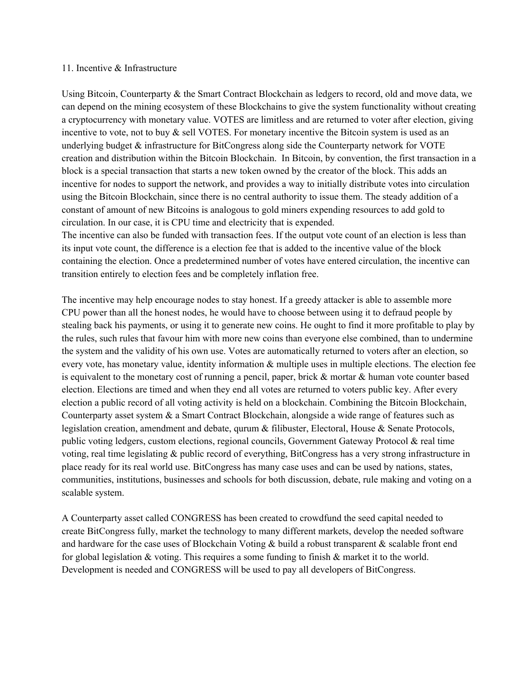#### 11. Incentive & Infrastructure

Using Bitcoin, Counterparty & the Smart Contract Blockchain as ledgers to record, old and move data, we can depend on the mining ecosystem of these Blockchains to give the system functionality without creating a cryptocurrency with monetary value. VOTES are limitless and are returned to voter after election, giving incentive to vote, not to buy  $\&$  sell VOTES. For monetary incentive the Bitcoin system is used as an underlying budget  $\&$  infrastructure for BitCongress along side the Counterparty network for VOTE creation and distribution within the Bitcoin Blockchain. In Bitcoin, by convention, the first transaction in a block is a special transaction that starts a new token owned by the creator of the block. This adds an incentive for nodes to support the network, and provides a way to initially distribute votes into circulation using the Bitcoin Blockchain, since there is no central authority to issue them. The steady addition of a constant of amount of new Bitcoins is analogous to gold miners expending resources to add gold to circulation. In our case, it is CPU time and electricity that is expended.

The incentive can also be funded with transaction fees. If the output vote count of an election is less than its input vote count, the difference is a election fee that is added to the incentive value of the block containing the election. Once a predetermined number of votes have entered circulation, the incentive can transition entirely to election fees and be completely inflation free.

The incentive may help encourage nodes to stay honest. If a greedy attacker is able to assemble more CPU power than all the honest nodes, he would have to choose between using it to defraud people by stealing back his payments, or using it to generate new coins. He ought to find it more profitable to play by the rules, such rules that favour him with more new coins than everyone else combined, than to undermine the system and the validity of his own use. Votes are automatically returned to voters after an election, so every vote, has monetary value, identity information & multiple uses in multiple elections. The election fee is equivalent to the monetary cost of running a pencil, paper, brick & mortar & human vote counter based election. Elections are timed and when they end all votes are returned to voters public key. After every election a public record of all voting activity is held on a blockchain. Combining the Bitcoin Blockchain, Counterparty asset system & a Smart Contract Blockchain, alongside a wide range of features such as legislation creation, amendment and debate, qurum & filibuster, Electoral, House & Senate Protocols, public voting ledgers, custom elections, regional councils, Government Gateway Protocol & real time voting, real time legislating & public record of everything, BitCongress has a very strong infrastructure in place ready for its real world use. BitCongress has many case uses and can be used by nations, states, communities, institutions, businesses and schools for both discussion, debate, rule making and voting on a scalable system.

A Counterparty asset called CONGRESS has been created to crowdfund the seed capital needed to create BitCongress fully, market the technology to many different markets, develop the needed software and hardware for the case uses of Blockchain Voting & build a robust transparent & scalable front end for global legislation & voting. This requires a some funding to finish & market it to the world. Development is needed and CONGRESS will be used to pay all developers of BitCongress.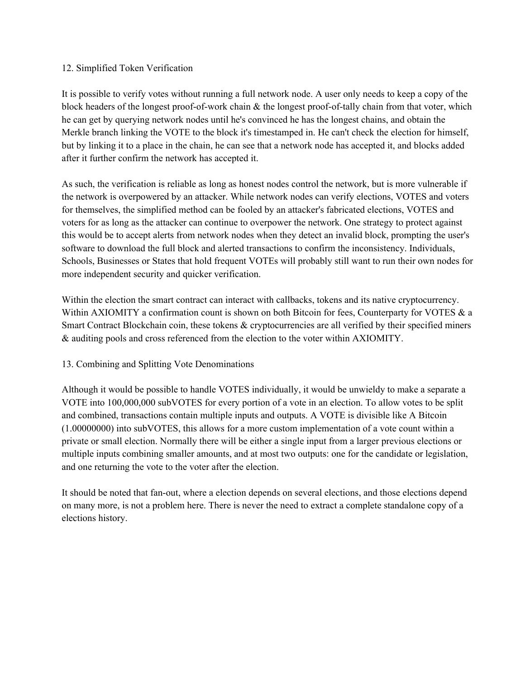## 12. Simplified Token Verification

It is possible to verify votes without running a full network node. A user only needs to keep a copy of the block headers of the longest proof-of-work chain  $\&$  the longest proof-of-tally chain from that voter, which he can get by querying network nodes until he's convinced he has the longest chains, and obtain the Merkle branch linking the VOTE to the block it's timestamped in. He can't check the election for himself, but by linking it to a place in the chain, he can see that a network node has accepted it, and blocks added after it further confirm the network has accepted it.

As such, the verification is reliable as long as honest nodes control the network, but is more vulnerable if the network is overpowered by an attacker. While network nodes can verify elections, VOTES and voters for themselves, the simplified method can be fooled by an attacker's fabricated elections, VOTES and voters for as long as the attacker can continue to overpower the network. One strategy to protect against this would be to accept alerts from network nodes when they detect an invalid block, prompting the user's software to download the full block and alerted transactions to confirm the inconsistency. Individuals, Schools, Businesses or States that hold frequent VOTEs will probably still want to run their own nodes for more independent security and quicker verification.

Within the election the smart contract can interact with callbacks, tokens and its native cryptocurrency. Within AXIOMITY a confirmation count is shown on both Bitcoin for fees, Counterparty for VOTES  $\&$  a Smart Contract Blockchain coin, these tokens & cryptocurrencies are all verified by their specified miners & auditing pools and cross referenced from the election to the voter within AXIOMITY.

# 13. Combining and Splitting Vote Denominations

Although it would be possible to handle VOTES individually, it would be unwieldy to make a separate a VOTE into 100,000,000 subVOTES for every portion of a vote in an election. To allow votes to be split and combined, transactions contain multiple inputs and outputs. A VOTE is divisible like A Bitcoin (1.00000000) into subVOTES, this allows for a more custom implementation of a vote count within a private or small election. Normally there will be either a single input from a larger previous elections or multiple inputs combining smaller amounts, and at most two outputs: one for the candidate or legislation, and one returning the vote to the voter after the election.

It should be noted that fan-out, where a election depends on several elections, and those elections depend on many more, is not a problem here. There is never the need to extract a complete standalone copy of a elections history.